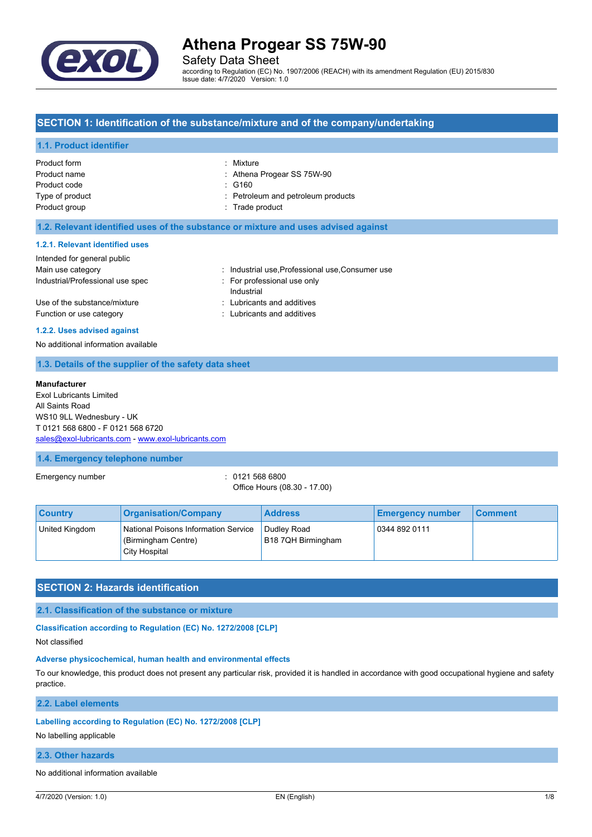

Safety Data Sheet

according to Regulation (EC) No. 1907/2006 (REACH) with its amendment Regulation (EU) 2015/830 Issue date: 4/7/2020 Version: 1.0

## **SECTION 1: Identification of the substance/mixture and of the company/undertaking**

#### **1.1. Product identifier**

| Product form<br>Product name<br>Product code<br>Type of product | : Mixture<br>: Athena Progear SS 75W-90<br>$\therefore$ G160<br>: Petroleum and petroleum products |
|-----------------------------------------------------------------|----------------------------------------------------------------------------------------------------|
| Product group                                                   | : Trade product                                                                                    |
|                                                                 |                                                                                                    |

#### **1.2. Relevant identified uses of the substance or mixture and uses advised against**

#### **1.2.1. Relevant identified uses**

| Intended for general public                              |                                                          |
|----------------------------------------------------------|----------------------------------------------------------|
| Main use category                                        | : Industrial use, Professional use, Consumer use         |
| Industrial/Professional use spec                         | For professional use only<br>Industrial                  |
| Use of the substance/mixture<br>Function or use category | : Lubricants and additives<br>: Lubricants and additives |

#### **1.2.2. Uses advised against**

No additional information available

#### **1.3. Details of the supplier of the safety data sheet**

#### **Manufacturer**

Exol Lubricants Limited All Saints Road WS10 9LL Wednesbury - UK T 0121 568 6800 - F 0121 568 6720 [sales@exol-lubricants.com](mailto:sales@exol-lubricants.com) - <www.exol-lubricants.com>

#### **1.4. Emergency telephone number**

Emergency number : 0121 568 6800

Office Hours (08.30 - 17.00)

| <b>Country</b> | <b>Organisation/Company</b>                                                  | <b>Address</b>                    | <b>Emergency number</b> | <b>Comment</b> |
|----------------|------------------------------------------------------------------------------|-----------------------------------|-------------------------|----------------|
| United Kingdom | National Poisons Information Service<br>(Birmingham Centre)<br>City Hospital | Dudley Road<br>B18 7QH Birmingham | 0344 892 0111           |                |

## **SECTION 2: Hazards identification**

#### **2.1. Classification of the substance or mixture**

**Classification according to Regulation (EC) No. 1272/2008 [CLP]**

Not classified

#### **Adverse physicochemical, human health and environmental effects**

To our knowledge, this product does not present any particular risk, provided it is handled in accordance with good occupational hygiene and safety practice.

### **2.2. Label elements**

#### **Labelling according to Regulation (EC) No. 1272/2008 [CLP]**

No labelling applicable

#### **2.3. Other hazards**

No additional information available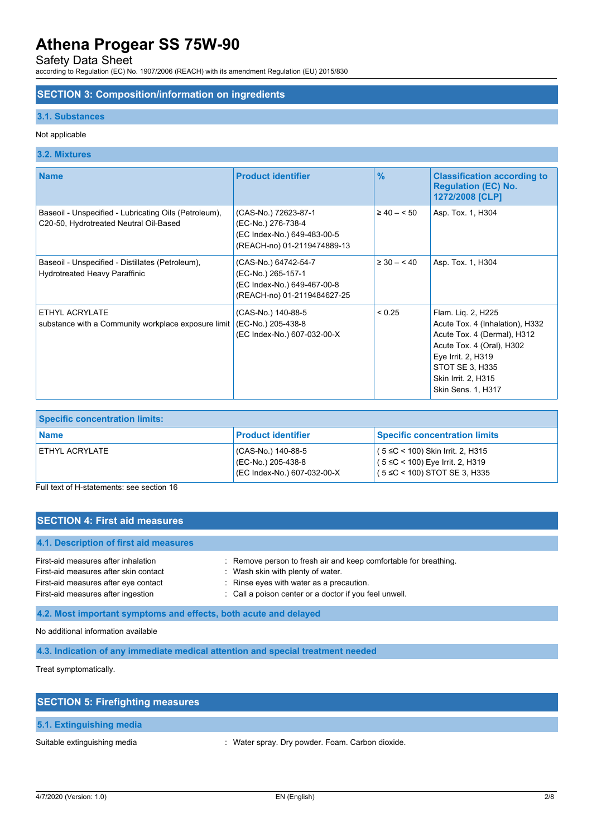Safety Data Sheet

according to Regulation (EC) No. 1907/2006 (REACH) with its amendment Regulation (EU) 2015/830

#### **SECTION 3: Composition/information on ingredients**

#### **3.1. Substances**

#### Not applicable

### **3.2. Mixtures**

| <b>Name</b>                                                                                     | <b>Product identifier</b>                                                                                | $\frac{9}{6}$  | <b>Classification according to</b><br><b>Regulation (EC) No.</b><br>1272/2008 [CLP]                                                                                                                     |
|-------------------------------------------------------------------------------------------------|----------------------------------------------------------------------------------------------------------|----------------|---------------------------------------------------------------------------------------------------------------------------------------------------------------------------------------------------------|
| Baseoil - Unspecified - Lubricating Oils (Petroleum),<br>C20-50, Hydrotreated Neutral Oil-Based | (CAS-No.) 72623-87-1<br>(EC-No.) 276-738-4<br>(EC Index-No.) 649-483-00-5<br>(REACH-no) 01-2119474889-13 | $\geq 40 - 50$ | Asp. Tox. 1, H304                                                                                                                                                                                       |
| Baseoil - Unspecified - Distillates (Petroleum),<br>Hydrotreated Heavy Paraffinic               | (CAS-No.) 64742-54-7<br>(EC-No.) 265-157-1<br>(EC Index-No.) 649-467-00-8<br>(REACH-no) 01-2119484627-25 | $\geq 30 - 40$ | Asp. Tox. 1, H304                                                                                                                                                                                       |
| ETHYL ACRYLATE<br>substance with a Community workplace exposure limit                           | (CAS-No.) 140-88-5<br>(EC-No.) 205-438-8<br>(EC Index-No.) 607-032-00-X                                  | ${}_{0.25}$    | Flam. Lig. 2, H225<br>Acute Tox. 4 (Inhalation), H332<br>Acute Tox. 4 (Dermal), H312<br>Acute Tox. 4 (Oral), H302<br>Eye Irrit. 2, H319<br>STOT SE 3, H335<br>Skin Irrit. 2, H315<br>Skin Sens. 1, H317 |

| <b>Specific concentration limits:</b> |                                                                           |                                                                                                                 |
|---------------------------------------|---------------------------------------------------------------------------|-----------------------------------------------------------------------------------------------------------------|
| l Name                                | <b>Product identifier</b>                                                 | <b>Specific concentration limits</b>                                                                            |
| ETHYL ACRYLATE                        | ' (CAS-No.) 140-88-5<br>(EC-No.) 205-438-8<br>(EC Index-No.) 607-032-00-X | $(5 ≤ C < 100)$ Skin Irrit. 2, H315<br>$(5 ≤ C < 100)$ Eye Irrit. 2, H319<br>$(5 \leq C < 100)$ STOT SE 3, H335 |

Full text of H-statements: see section 16

### **SECTION 4: First aid measures**

| 4.1. Description of first aid measures |                                                                  |
|----------------------------------------|------------------------------------------------------------------|
| First-aid measures after inhalation    | : Remove person to fresh air and keep comfortable for breathing. |
| First-aid measures after skin contact  | Wash skin with plenty of water.                                  |
| First-aid measures after eye contact   | : Rinse eyes with water as a precaution.                         |
| First-aid measures after ingestion     | : Call a poison center or a doctor if you feel unwell.           |

**4.2. Most important symptoms and effects, both acute and delayed**

No additional information available

**4.3. Indication of any immediate medical attention and special treatment needed**

Treat symptomatically.

| <b>SECTION 5: Firefighting measures</b> |                                                  |
|-----------------------------------------|--------------------------------------------------|
| 5.1. Extinguishing media                |                                                  |
| Suitable extinguishing media            | : Water spray. Dry powder. Foam. Carbon dioxide. |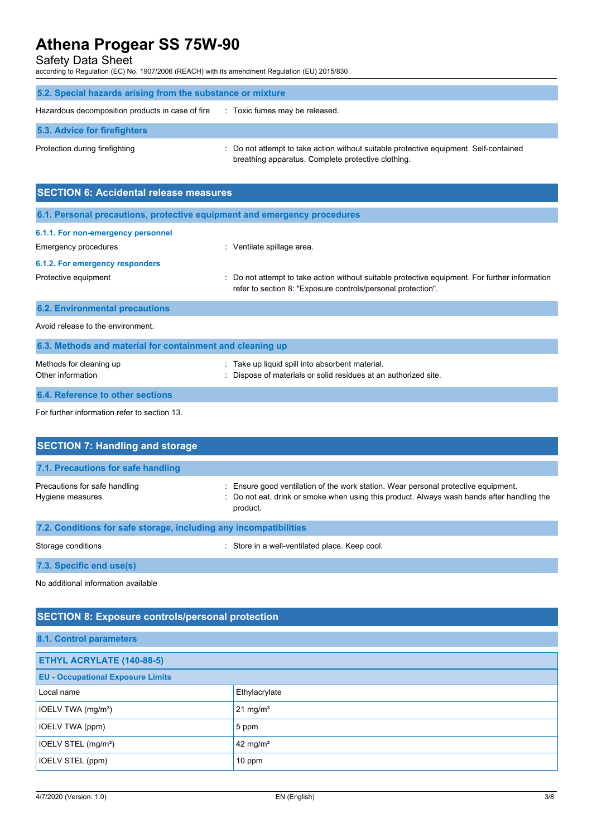Safety Data Sheet

according to Regulation (EC) No. 1907/2006 (REACH) with its amendment Regulation (EU) 2015/830

| 5.2. Special hazards arising from the substance or mixture |                                                                                                                                             |
|------------------------------------------------------------|---------------------------------------------------------------------------------------------------------------------------------------------|
| Hazardous decomposition products in case of fire           | : Toxic fumes may be released.                                                                                                              |
| 5.3. Advice for firefighters                               |                                                                                                                                             |
| Protection during firefighting                             | : Do not attempt to take action without suitable protective equipment. Self-contained<br>breathing apparatus. Complete protective clothing. |

| <b>SECTION 6: Accidental release measures</b>                            |                                                                                                                                                                |  |
|--------------------------------------------------------------------------|----------------------------------------------------------------------------------------------------------------------------------------------------------------|--|
| 6.1. Personal precautions, protective equipment and emergency procedures |                                                                                                                                                                |  |
| 6.1.1. For non-emergency personnel                                       |                                                                                                                                                                |  |
| Emergency procedures                                                     | : Ventilate spillage area.                                                                                                                                     |  |
| 6.1.2. For emergency responders                                          |                                                                                                                                                                |  |
| Protective equipment                                                     | : Do not attempt to take action without suitable protective equipment. For further information<br>refer to section 8: "Exposure controls/personal protection". |  |
| <b>6.2. Environmental precautions</b>                                    |                                                                                                                                                                |  |
| Avoid release to the environment.                                        |                                                                                                                                                                |  |
| 6.3. Methods and material for containment and cleaning up                |                                                                                                                                                                |  |
| Methods for cleaning up<br>Other information                             | : Take up liquid spill into absorbent material.<br>: Dispose of materials or solid residues at an authorized site.                                             |  |
| 6.4. Reference to other sections                                         |                                                                                                                                                                |  |
| For further information refer to section 13.                             |                                                                                                                                                                |  |

| <b>SECTION 7: Handling and storage</b>                            |                                                                                                                                                                                            |  |
|-------------------------------------------------------------------|--------------------------------------------------------------------------------------------------------------------------------------------------------------------------------------------|--|
| 7.1. Precautions for safe handling                                |                                                                                                                                                                                            |  |
| Precautions for safe handling<br>Hygiene measures                 | Ensure good ventilation of the work station. Wear personal protective equipment.<br>: Do not eat, drink or smoke when using this product. Always wash hands after handling the<br>product. |  |
| 7.2. Conditions for safe storage, including any incompatibilities |                                                                                                                                                                                            |  |
| Storage conditions                                                | Store in a well-ventilated place. Keep cool.                                                                                                                                               |  |

**7.3. Specific end use(s)**

No additional information available

## **SECTION 8: Exposure controls/personal protection**

### **8.1. Control parameters**

| ETHYL ACRYLATE (140-88-5)                |               |  |
|------------------------------------------|---------------|--|
| <b>EU - Occupational Exposure Limits</b> |               |  |
| Local name                               | Ethylacrylate |  |
| IOELV TWA (mg/m <sup>3</sup> )           | 21 mg/ $m3$   |  |
| <b>IOELV TWA (ppm)</b>                   | 5 ppm         |  |
| IOELV STEL (mg/m <sup>3</sup> )          | 42 mg/ $m3$   |  |
| IOELV STEL (ppm)                         | 10 ppm        |  |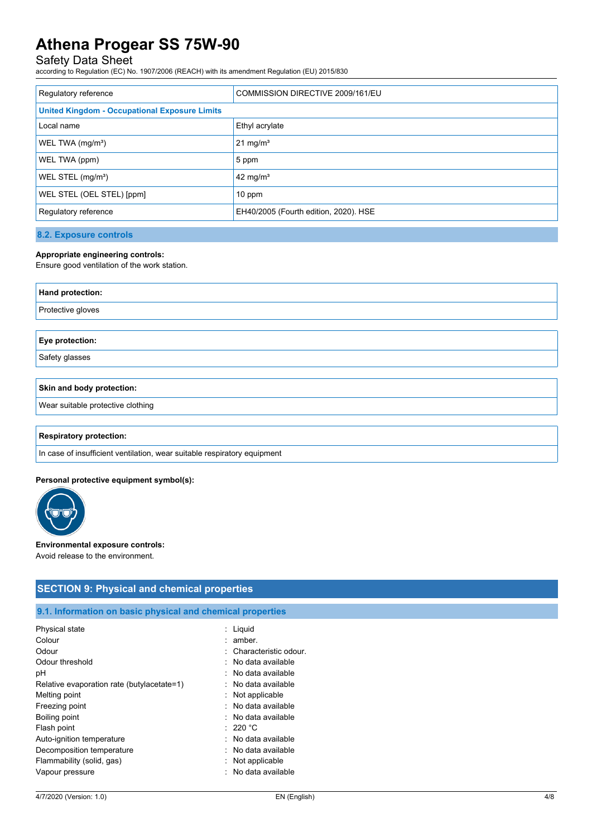## Safety Data Sheet

according to Regulation (EC) No. 1907/2006 (REACH) with its amendment Regulation (EU) 2015/830

| Regulatory reference                                 | COMMISSION DIRECTIVE 2009/161/EU      |  |
|------------------------------------------------------|---------------------------------------|--|
| <b>United Kingdom - Occupational Exposure Limits</b> |                                       |  |
| Local name                                           | Ethyl acrylate                        |  |
| WEL TWA (mg/m <sup>3</sup> )                         | $21 \text{ mg/m}^3$                   |  |
| WEL TWA (ppm)                                        | 5 ppm                                 |  |
| WEL STEL (mg/m <sup>3</sup> )                        | 42 mg/m <sup>3</sup>                  |  |
| WEL STEL (OEL STEL) [ppm]                            | $10$ ppm                              |  |
| Regulatory reference                                 | EH40/2005 (Fourth edition, 2020). HSE |  |

**8.2. Exposure controls**

#### **Appropriate engineering controls:**

Ensure good ventilation of the work station.

| Hand protection:  |  |
|-------------------|--|
| Protective gloves |  |
|                   |  |
| Eye protection:   |  |

Safety glasses

### **Skin and body protection:**

Wear suitable protective clothing

#### **Respiratory protection:**

In case of insufficient ventilation, wear suitable respiratory equipment

#### **Personal protective equipment symbol(s):**



#### **Environmental exposure controls:**

Avoid release to the environment.

### **SECTION 9: Physical and chemical properties**

## **9.1. Information on basic physical and chemical properties**

| Physical state                             | : Liquid                       |
|--------------------------------------------|--------------------------------|
| Colour                                     | amber.                         |
| Odour                                      | : Characteristic odour.        |
| Odour threshold                            | : No data available            |
| рH                                         | $:$ No data available          |
| Relative evaporation rate (butylacetate=1) | $:$ No data available          |
| Melting point                              | : Not applicable               |
| Freezing point                             | : No data available            |
| Boiling point                              | : No data available            |
| Flash point                                | $:220\text{ }^{\circ}\text{C}$ |
| Auto-ignition temperature                  | : No data available            |
| Decomposition temperature                  | $:$ No data available          |
| Flammability (solid, gas)                  | Not applicable                 |
| Vapour pressure                            | : No data available            |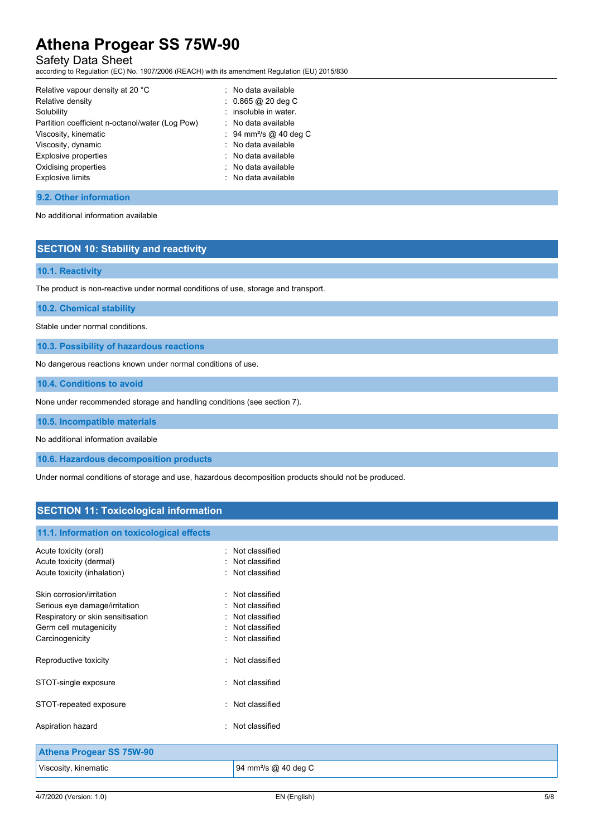## Safety Data Sheet

according to Regulation (EC) No. 1907/2006 (REACH) with its amendment Regulation (EU) 2015/830

| Relative vapour density at 20 °C                | : No data available                |
|-------------------------------------------------|------------------------------------|
| Relative density                                | $: 0.865 @ 20$ deg C               |
| Solubility                                      | : insoluble in water.              |
| Partition coefficient n-octanol/water (Log Pow) | $\therefore$ No data available     |
| Viscosity, kinematic                            | : 94 mm <sup>2</sup> /s @ 40 deg C |
| Viscosity, dynamic                              | : No data available                |
| <b>Explosive properties</b>                     | $\therefore$ No data available     |
| Oxidising properties                            | : No data available                |
| <b>Explosive limits</b>                         | : No data available                |
|                                                 |                                    |

## **9.2. Other information**

No additional information available

## **SECTION 10: Stability and reactivity**

### **10.1. Reactivity**

The product is non-reactive under normal conditions of use, storage and transport.

#### **10.2. Chemical stability**

Stable under normal conditions.

**10.3. Possibility of hazardous reactions**

No dangerous reactions known under normal conditions of use.

**10.4. Conditions to avoid**

None under recommended storage and handling conditions (see section 7).

**10.5. Incompatible materials**

No additional information available

**10.6. Hazardous decomposition products**

Under normal conditions of storage and use, hazardous decomposition products should not be produced.

## **SECTION 11: Toxicological information**

#### **11.1. Information on toxicological effects**

| Acute toxicity (oral)<br>Acute toxicity (dermal)<br>Acute toxicity (inhalation)                                                              | : Not classified<br>Not classified<br>: Not classified                                   |
|----------------------------------------------------------------------------------------------------------------------------------------------|------------------------------------------------------------------------------------------|
| Skin corrosion/irritation<br>Serious eye damage/irritation<br>Respiratory or skin sensitisation<br>Germ cell mutagenicity<br>Carcinogenicity | Not classified<br>Not classified<br>Not classified<br>Not classified<br>: Not classified |
| Reproductive toxicity                                                                                                                        | : Not classified                                                                         |
| STOT-single exposure                                                                                                                         | : Not classified                                                                         |
| STOT-repeated exposure                                                                                                                       | : Not classified                                                                         |
| Aspiration hazard                                                                                                                            | : Not classified                                                                         |
|                                                                                                                                              |                                                                                          |

| <b>Athena Progear SS 75W-90</b> |                                  |
|---------------------------------|----------------------------------|
| Viscosity, kinematic            | 94 mm <sup>2</sup> /s @ 40 deg C |
|                                 |                                  |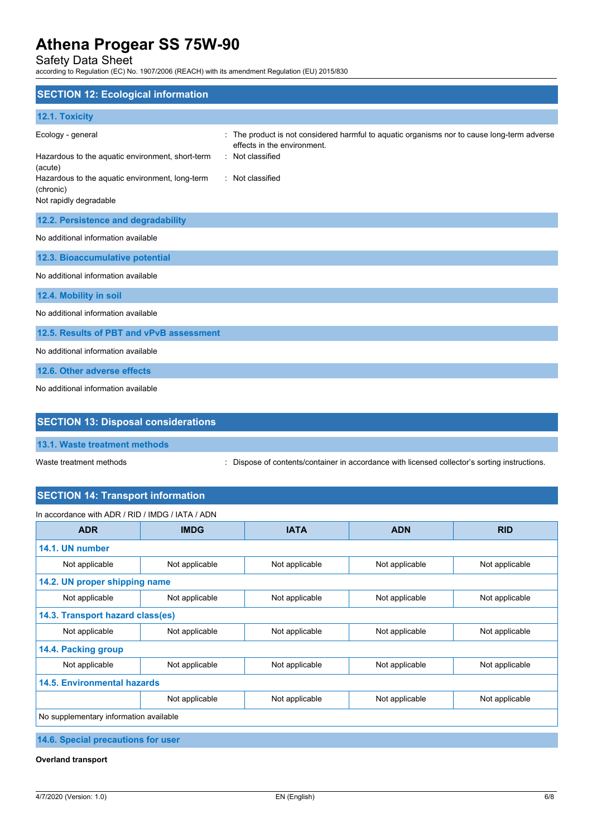Safety Data Sheet

according to Regulation (EC) No. 1907/2006 (REACH) with its amendment Regulation (EU) 2015/830

| <b>SECTION 12: Ecological information</b>                                                                                                                                  |                                                                                                                                                                  |
|----------------------------------------------------------------------------------------------------------------------------------------------------------------------------|------------------------------------------------------------------------------------------------------------------------------------------------------------------|
| 12.1. Toxicity                                                                                                                                                             |                                                                                                                                                                  |
| Ecology - general<br>Hazardous to the aquatic environment, short-term<br>(acute)<br>Hazardous to the aquatic environment, long-term<br>(chronic)<br>Not rapidly degradable | The product is not considered harmful to aquatic organisms nor to cause long-term adverse<br>effects in the environment.<br>: Not classified<br>: Not classified |
| 12.2. Persistence and degradability                                                                                                                                        |                                                                                                                                                                  |
| No additional information available                                                                                                                                        |                                                                                                                                                                  |
| 12.3. Bioaccumulative potential                                                                                                                                            |                                                                                                                                                                  |
| No additional information available                                                                                                                                        |                                                                                                                                                                  |
| 12.4. Mobility in soil                                                                                                                                                     |                                                                                                                                                                  |
| No additional information available                                                                                                                                        |                                                                                                                                                                  |
| 12.5. Results of PBT and vPvB assessment                                                                                                                                   |                                                                                                                                                                  |
| No additional information available                                                                                                                                        |                                                                                                                                                                  |
| 12.6. Other adverse effects                                                                                                                                                |                                                                                                                                                                  |
| No additional information available                                                                                                                                        |                                                                                                                                                                  |

## **SECTION 13: Disposal considerations**

**13.1. Waste treatment methods**

Waste treatment methods : Dispose of contents/container in accordance with licensed collector's sorting instructions.

## **SECTION 14: Transport information**

| In accordance with ADR / RID / IMDG / IATA / ADN |                                  |                |                |                |
|--------------------------------------------------|----------------------------------|----------------|----------------|----------------|
| <b>ADR</b>                                       | <b>IMDG</b>                      | <b>IATA</b>    | <b>ADN</b>     | <b>RID</b>     |
| 14.1. UN number                                  |                                  |                |                |                |
| Not applicable                                   | Not applicable                   | Not applicable | Not applicable | Not applicable |
| 14.2. UN proper shipping name                    |                                  |                |                |                |
| Not applicable                                   | Not applicable                   | Not applicable | Not applicable | Not applicable |
|                                                  | 14.3. Transport hazard class(es) |                |                |                |
| Not applicable                                   | Not applicable                   | Not applicable | Not applicable | Not applicable |
| 14.4. Packing group                              |                                  |                |                |                |
| Not applicable                                   | Not applicable                   | Not applicable | Not applicable | Not applicable |
| 14.5. Environmental hazards                      |                                  |                |                |                |
|                                                  | Not applicable                   | Not applicable | Not applicable | Not applicable |
| No supplementary information available           |                                  |                |                |                |

**14.6. Special precautions for user**

**Overland transport**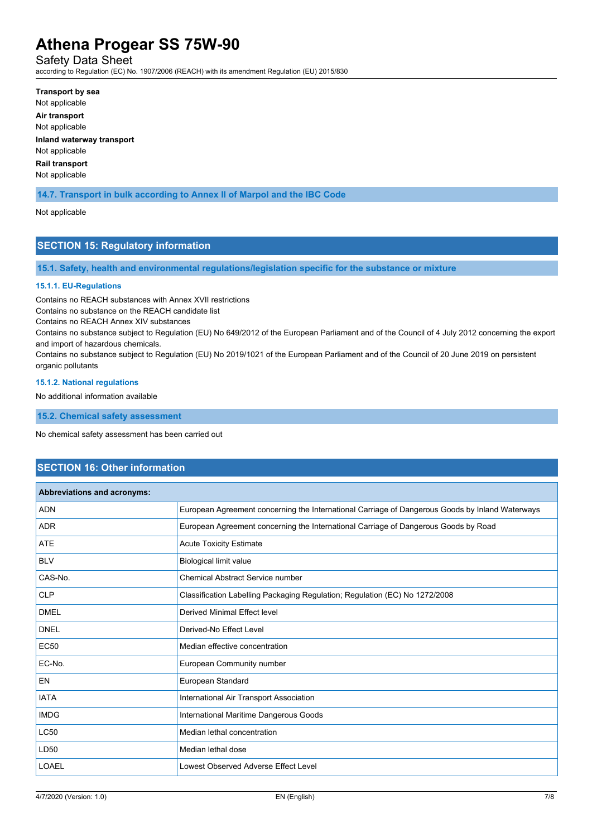Safety Data Sheet

according to Regulation (EC) No. 1907/2006 (REACH) with its amendment Regulation (EU) 2015/830

**Transport by sea** Not applicable **Air transport** Not applicable **Inland waterway transport**

Not applicable **Rail transport**

Not applicable

**14.7. Transport in bulk according to Annex II of Marpol and the IBC Code**

Not applicable

## **SECTION 15: Regulatory information**

**15.1. Safety, health and environmental regulations/legislation specific for the substance or mixture**

#### **15.1.1. EU-Regulations**

Contains no REACH substances with Annex XVII restrictions

Contains no substance on the REACH candidate list

Contains no REACH Annex XIV substances

Contains no substance subject to Regulation (EU) No 649/2012 of the European Parliament and of the Council of 4 July 2012 concerning the export and import of hazardous chemicals.

Contains no substance subject to Regulation (EU) No 2019/1021 of the European Parliament and of the Council of 20 June 2019 on persistent organic pollutants

#### **15.1.2. National regulations**

No additional information available

**15.2. Chemical safety assessment**

No chemical safety assessment has been carried out

### **SECTION 16: Other information**

| Abbreviations and acronyms: |                                                                                                 |
|-----------------------------|-------------------------------------------------------------------------------------------------|
| <b>ADN</b>                  | European Agreement concerning the International Carriage of Dangerous Goods by Inland Waterways |
| <b>ADR</b>                  | European Agreement concerning the International Carriage of Dangerous Goods by Road             |
| <b>ATE</b>                  | <b>Acute Toxicity Estimate</b>                                                                  |
| <b>BLV</b>                  | Biological limit value                                                                          |
| CAS-No.                     | <b>Chemical Abstract Service number</b>                                                         |
| <b>CLP</b>                  | Classification Labelling Packaging Regulation; Regulation (EC) No 1272/2008                     |
| <b>DMEL</b>                 | Derived Minimal Effect level                                                                    |
| <b>DNEL</b>                 | Derived-No Effect Level                                                                         |
| <b>EC50</b>                 | Median effective concentration                                                                  |
| EC-No.                      | European Community number                                                                       |
| <b>EN</b>                   | European Standard                                                                               |
| <b>IATA</b>                 | International Air Transport Association                                                         |
| <b>IMDG</b>                 | International Maritime Dangerous Goods                                                          |
| <b>LC50</b>                 | Median lethal concentration                                                                     |
| LD50                        | Median lethal dose                                                                              |
| <b>LOAEL</b>                | Lowest Observed Adverse Effect Level                                                            |